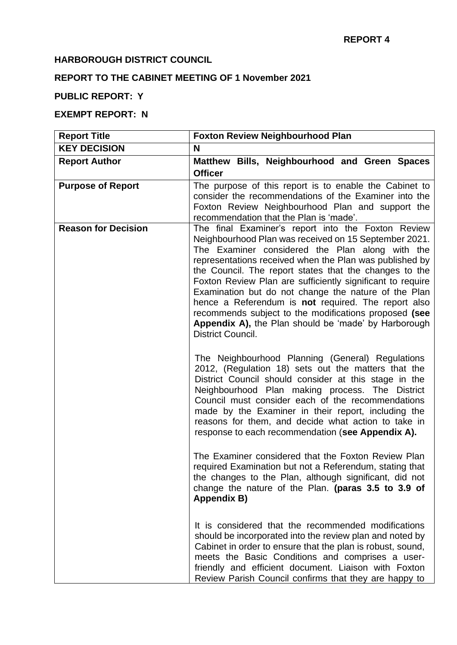### **HARBOROUGH DISTRICT COUNCIL**

# **REPORT TO THE CABINET MEETING OF 1 November 2021**

## **PUBLIC REPORT: Y**

## **EXEMPT REPORT: N**

| <b>Report Title</b>        | <b>Foxton Review Neighbourhood Plan</b>                                                                                                                                                                                                                                                                                                                                                                                                                                                                                                                                                                                                                                                                                                                                                                                                                                                                                                                                                                                                                      |
|----------------------------|--------------------------------------------------------------------------------------------------------------------------------------------------------------------------------------------------------------------------------------------------------------------------------------------------------------------------------------------------------------------------------------------------------------------------------------------------------------------------------------------------------------------------------------------------------------------------------------------------------------------------------------------------------------------------------------------------------------------------------------------------------------------------------------------------------------------------------------------------------------------------------------------------------------------------------------------------------------------------------------------------------------------------------------------------------------|
| <b>KEY DECISION</b>        | N                                                                                                                                                                                                                                                                                                                                                                                                                                                                                                                                                                                                                                                                                                                                                                                                                                                                                                                                                                                                                                                            |
| <b>Report Author</b>       | Matthew Bills, Neighbourhood and Green Spaces<br><b>Officer</b>                                                                                                                                                                                                                                                                                                                                                                                                                                                                                                                                                                                                                                                                                                                                                                                                                                                                                                                                                                                              |
| <b>Purpose of Report</b>   | The purpose of this report is to enable the Cabinet to<br>consider the recommendations of the Examiner into the<br>Foxton Review Neighbourhood Plan and support the<br>recommendation that the Plan is 'made'.                                                                                                                                                                                                                                                                                                                                                                                                                                                                                                                                                                                                                                                                                                                                                                                                                                               |
| <b>Reason for Decision</b> | The final Examiner's report into the Foxton Review<br>Neighbourhood Plan was received on 15 September 2021.<br>The Examiner considered the Plan along with the<br>representations received when the Plan was published by<br>the Council. The report states that the changes to the<br>Foxton Review Plan are sufficiently significant to require<br>Examination but do not change the nature of the Plan<br>hence a Referendum is <b>not</b> required. The report also<br>recommends subject to the modifications proposed (see<br>Appendix A), the Plan should be 'made' by Harborough<br>District Council.<br>The Neighbourhood Planning (General) Regulations<br>2012, (Regulation 18) sets out the matters that the<br>District Council should consider at this stage in the<br>Neighbourhood Plan making process. The District<br>Council must consider each of the recommendations<br>made by the Examiner in their report, including the<br>reasons for them, and decide what action to take in<br>response to each recommendation (see Appendix A). |
|                            | The Examiner considered that the Foxton Review Plan<br>required Examination but not a Referendum, stating that<br>the changes to the Plan, although significant, did not<br>change the nature of the Plan. (paras 3.5 to 3.9 of<br><b>Appendix B)</b><br>It is considered that the recommended modifications<br>should be incorporated into the review plan and noted by<br>Cabinet in order to ensure that the plan is robust, sound,<br>meets the Basic Conditions and comprises a user-<br>friendly and efficient document. Liaison with Foxton<br>Review Parish Council confirms that they are happy to                                                                                                                                                                                                                                                                                                                                                                                                                                                  |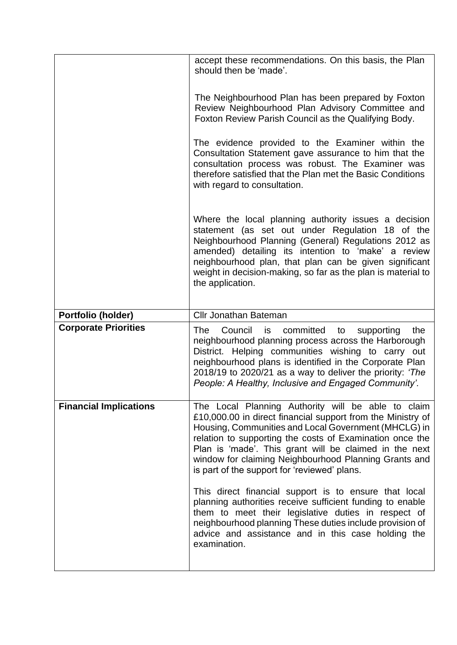|                               | accept these recommendations. On this basis, the Plan<br>should then be 'made'.                                                                                                                                                                                                                                                                                                                          |
|-------------------------------|----------------------------------------------------------------------------------------------------------------------------------------------------------------------------------------------------------------------------------------------------------------------------------------------------------------------------------------------------------------------------------------------------------|
|                               | The Neighbourhood Plan has been prepared by Foxton<br>Review Neighbourhood Plan Advisory Committee and<br>Foxton Review Parish Council as the Qualifying Body.                                                                                                                                                                                                                                           |
|                               | The evidence provided to the Examiner within the<br>Consultation Statement gave assurance to him that the<br>consultation process was robust. The Examiner was<br>therefore satisfied that the Plan met the Basic Conditions<br>with regard to consultation.                                                                                                                                             |
|                               | Where the local planning authority issues a decision<br>statement (as set out under Regulation 18 of the<br>Neighbourhood Planning (General) Regulations 2012 as<br>amended) detailing its intention to 'make' a review<br>neighbourhood plan, that plan can be given significant<br>weight in decision-making, so far as the plan is material to<br>the application.                                    |
| Portfolio (holder)            | <b>Cllr Jonathan Bateman</b>                                                                                                                                                                                                                                                                                                                                                                             |
| <b>Corporate Priorities</b>   | The<br>Council is committed to<br>the<br>supporting                                                                                                                                                                                                                                                                                                                                                      |
|                               | neighbourhood planning process across the Harborough<br>District. Helping communities wishing to carry out<br>neighbourhood plans is identified in the Corporate Plan<br>2018/19 to 2020/21 as a way to deliver the priority: 'The<br>People: A Healthy, Inclusive and Engaged Community'.                                                                                                               |
| <b>Financial Implications</b> | The Local Planning Authority will be able to claim<br>£10,000.00 in direct financial support from the Ministry of<br>Housing, Communities and Local Government (MHCLG) in<br>relation to supporting the costs of Examination once the<br>Plan is 'made'. This grant will be claimed in the next<br>window for claiming Neighbourhood Planning Grants and<br>is part of the support for 'reviewed' plans. |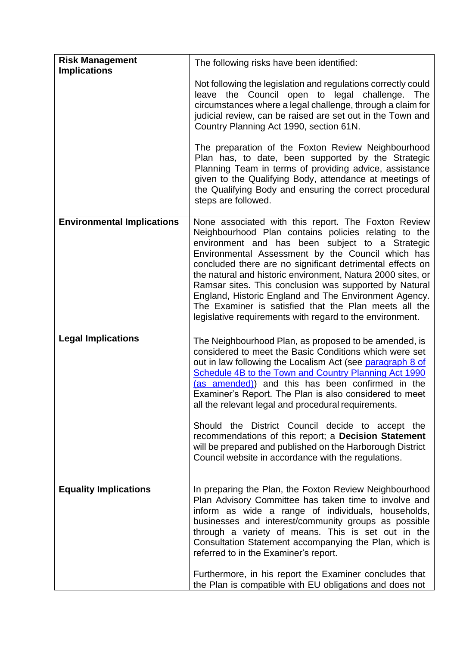| <b>Risk Management</b><br><b>Implications</b> | The following risks have been identified:                                                                                                                                                                                                                                                                                                                                                                                                                                                                                                                                                                                                         |
|-----------------------------------------------|---------------------------------------------------------------------------------------------------------------------------------------------------------------------------------------------------------------------------------------------------------------------------------------------------------------------------------------------------------------------------------------------------------------------------------------------------------------------------------------------------------------------------------------------------------------------------------------------------------------------------------------------------|
|                                               | Not following the legislation and regulations correctly could<br>leave the Council open to legal challenge. The<br>circumstances where a legal challenge, through a claim for<br>judicial review, can be raised are set out in the Town and<br>Country Planning Act 1990, section 61N.                                                                                                                                                                                                                                                                                                                                                            |
|                                               | The preparation of the Foxton Review Neighbourhood<br>Plan has, to date, been supported by the Strategic<br>Planning Team in terms of providing advice, assistance<br>given to the Qualifying Body, attendance at meetings of<br>the Qualifying Body and ensuring the correct procedural<br>steps are followed.                                                                                                                                                                                                                                                                                                                                   |
| <b>Environmental Implications</b>             | None associated with this report. The Foxton Review<br>Neighbourhood Plan contains policies relating to the<br>environment and has been subject to a Strategic<br>Environmental Assessment by the Council which has<br>concluded there are no significant detrimental effects on<br>the natural and historic environment, Natura 2000 sites, or<br>Ramsar sites. This conclusion was supported by Natural<br>England, Historic England and The Environment Agency.<br>The Examiner is satisfied that the Plan meets all the<br>legislative requirements with regard to the environment.                                                           |
| <b>Legal Implications</b>                     | The Neighbourhood Plan, as proposed to be amended, is<br>considered to meet the Basic Conditions which were set<br>out in law following the Localism Act (see paragraph 8 of<br><b>Schedule 4B to the Town and Country Planning Act 1990</b><br>(as amended)) and this has been confirmed in the<br>Examiner's Report. The Plan is also considered to meet<br>all the relevant legal and procedural requirements.<br>Should the District Council decide to accept the<br>recommendations of this report; a Decision Statement<br>will be prepared and published on the Harborough District<br>Council website in accordance with the regulations. |
| <b>Equality Implications</b>                  | In preparing the Plan, the Foxton Review Neighbourhood<br>Plan Advisory Committee has taken time to involve and<br>inform as wide a range of individuals, households,<br>businesses and interest/community groups as possible<br>through a variety of means. This is set out in the<br>Consultation Statement accompanying the Plan, which is<br>referred to in the Examiner's report.<br>Furthermore, in his report the Examiner concludes that<br>the Plan is compatible with EU obligations and does not                                                                                                                                       |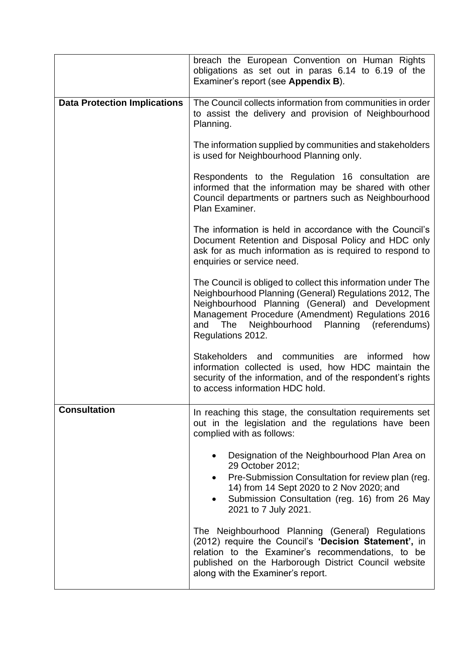|                                     | breach the European Convention on Human Rights<br>obligations as set out in paras 6.14 to 6.19 of the<br>Examiner's report (see Appendix B).                                                                                                                                                               |
|-------------------------------------|------------------------------------------------------------------------------------------------------------------------------------------------------------------------------------------------------------------------------------------------------------------------------------------------------------|
| <b>Data Protection Implications</b> | The Council collects information from communities in order<br>to assist the delivery and provision of Neighbourhood<br>Planning.                                                                                                                                                                           |
|                                     | The information supplied by communities and stakeholders<br>is used for Neighbourhood Planning only.                                                                                                                                                                                                       |
|                                     | Respondents to the Regulation 16 consultation are<br>informed that the information may be shared with other<br>Council departments or partners such as Neighbourhood<br>Plan Examiner.                                                                                                                     |
|                                     | The information is held in accordance with the Council's<br>Document Retention and Disposal Policy and HDC only<br>ask for as much information as is required to respond to<br>enquiries or service need.                                                                                                  |
|                                     | The Council is obliged to collect this information under The<br>Neighbourhood Planning (General) Regulations 2012, The<br>Neighbourhood Planning (General) and Development<br>Management Procedure (Amendment) Regulations 2016<br>Neighbourhood Planning (referendums)<br>and<br>The<br>Regulations 2012. |
|                                     | <b>Stakeholders</b><br>communities are<br>informed<br>how<br>and<br>information collected is used, how HDC maintain the<br>security of the information, and of the respondent's rights<br>to access information HDC hold.                                                                                  |
| <b>Consultation</b>                 | In reaching this stage, the consultation requirements set<br>out in the legislation and the regulations have been<br>complied with as follows:                                                                                                                                                             |
|                                     | Designation of the Neighbourhood Plan Area on<br>29 October 2012;<br>Pre-Submission Consultation for review plan (reg.<br>$\bullet$<br>14) from 14 Sept 2020 to 2 Nov 2020; and<br>Submission Consultation (reg. 16) from 26 May<br>2021 to 7 July 2021.                                                   |
|                                     | The Neighbourhood Planning (General) Regulations<br>(2012) require the Council's 'Decision Statement', in<br>relation to the Examiner's recommendations, to be<br>published on the Harborough District Council website<br>along with the Examiner's report.                                                |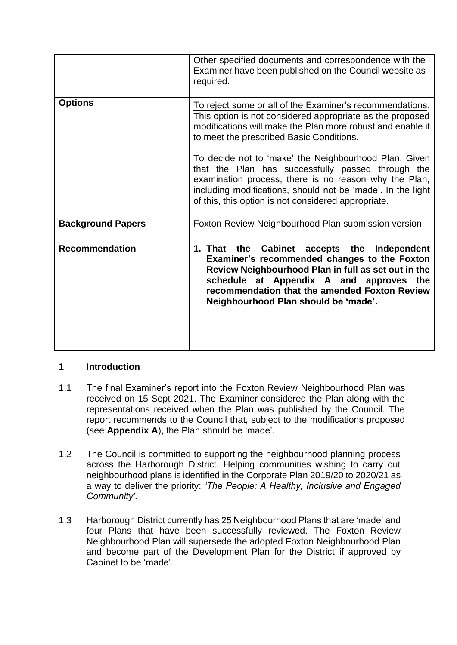|                          | Other specified documents and correspondence with the<br>Examiner have been published on the Council website as<br>required.                                                                                                                                                                    |
|--------------------------|-------------------------------------------------------------------------------------------------------------------------------------------------------------------------------------------------------------------------------------------------------------------------------------------------|
| <b>Options</b>           | To reject some or all of the Examiner's recommendations.<br>This option is not considered appropriate as the proposed<br>modifications will make the Plan more robust and enable it<br>to meet the prescribed Basic Conditions.                                                                 |
|                          | To decide not to 'make' the Neighbourhood Plan. Given<br>that the Plan has successfully passed through the<br>examination process, there is no reason why the Plan,<br>including modifications, should not be 'made'. In the light<br>of this, this option is not considered appropriate.       |
| <b>Background Papers</b> | Foxton Review Neighbourhood Plan submission version.                                                                                                                                                                                                                                            |
| <b>Recommendation</b>    | Cabinet accepts the<br>the<br>Independent<br>1. That<br>Examiner's recommended changes to the Foxton<br>Review Neighbourhood Plan in full as set out in the<br>schedule at Appendix A and approves the<br>recommendation that the amended Foxton Review<br>Neighbourhood Plan should be 'made'. |

### **1 Introduction**

- 1.1 The final Examiner's report into the Foxton Review Neighbourhood Plan was received on 15 Sept 2021. The Examiner considered the Plan along with the representations received when the Plan was published by the Council. The report recommends to the Council that, subject to the modifications proposed (see **Appendix A**), the Plan should be 'made'.
- 1.2 The Council is committed to supporting the neighbourhood planning process across the Harborough District. Helping communities wishing to carry out neighbourhood plans is identified in the Corporate Plan 2019/20 to 2020/21 as a way to deliver the priority: *'The People: A Healthy, Inclusive and Engaged Community'.*
- 1.3 Harborough District currently has 25 Neighbourhood Plans that are 'made' and four Plans that have been successfully reviewed. The Foxton Review Neighbourhood Plan will supersede the adopted Foxton Neighbourhood Plan and become part of the Development Plan for the District if approved by Cabinet to be 'made'.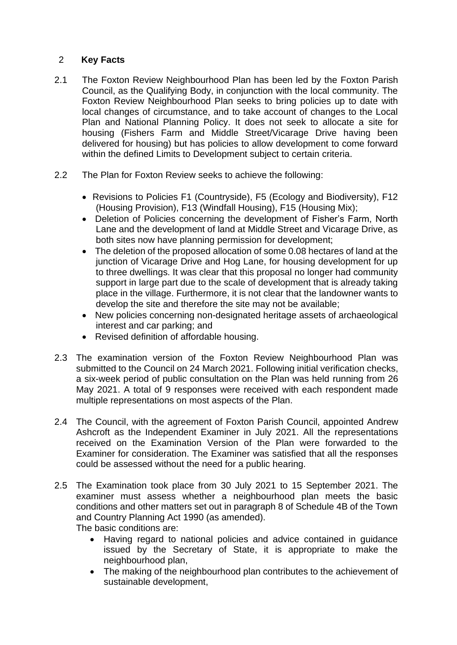### 2 **Key Facts**

- 2.1 The Foxton Review Neighbourhood Plan has been led by the Foxton Parish Council, as the Qualifying Body, in conjunction with the local community. The Foxton Review Neighbourhood Plan seeks to bring policies up to date with local changes of circumstance, and to take account of changes to the Local Plan and National Planning Policy. It does not seek to allocate a site for housing (Fishers Farm and Middle Street/Vicarage Drive having been delivered for housing) but has policies to allow development to come forward within the defined Limits to Development subject to certain criteria.
- 2.2 The Plan for Foxton Review seeks to achieve the following:
	- Revisions to Policies F1 (Countryside), F5 (Ecology and Biodiversity), F12 (Housing Provision), F13 (Windfall Housing), F15 (Housing Mix);
	- Deletion of Policies concerning the development of Fisher's Farm, North Lane and the development of land at Middle Street and Vicarage Drive, as both sites now have planning permission for development;
	- The deletion of the proposed allocation of some 0.08 hectares of land at the junction of Vicarage Drive and Hog Lane, for housing development for up to three dwellings. It was clear that this proposal no longer had community support in large part due to the scale of development that is already taking place in the village. Furthermore, it is not clear that the landowner wants to develop the site and therefore the site may not be available;
	- New policies concerning non-designated heritage assets of archaeological interest and car parking; and
	- Revised definition of affordable housing.
- 2.3 The examination version of the Foxton Review Neighbourhood Plan was submitted to the Council on 24 March 2021. Following initial verification checks, a six-week period of public consultation on the Plan was held running from 26 May 2021. A total of 9 responses were received with each respondent made multiple representations on most aspects of the Plan.
- 2.4 The Council, with the agreement of Foxton Parish Council, appointed Andrew Ashcroft as the Independent Examiner in July 2021. All the representations received on the Examination Version of the Plan were forwarded to the Examiner for consideration. The Examiner was satisfied that all the responses could be assessed without the need for a public hearing.
- 2.5 The Examination took place from 30 July 2021 to 15 September 2021. The examiner must assess whether a neighbourhood plan meets the basic conditions and other matters set out in paragraph 8 of Schedule 4B of the Town and Country Planning Act 1990 (as amended).

The basic conditions are:

- Having regard to national policies and advice contained in guidance issued by the Secretary of State, it is appropriate to make the neighbourhood plan,
- The making of the neighbourhood plan contributes to the achievement of sustainable development,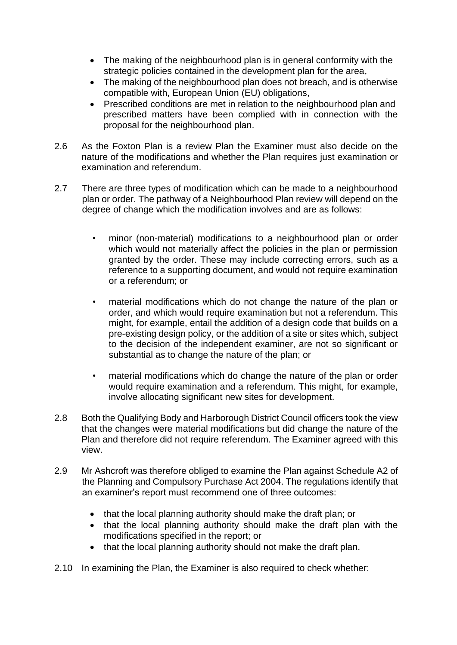- The making of the neighbourhood plan is in general conformity with the strategic policies contained in the development plan for the area,
- The making of the neighbourhood plan does not breach, and is otherwise compatible with, European Union (EU) obligations,
- Prescribed conditions are met in relation to the neighbourhood plan and prescribed matters have been complied with in connection with the proposal for the neighbourhood plan.
- 2.6 As the Foxton Plan is a review Plan the Examiner must also decide on the nature of the modifications and whether the Plan requires just examination or examination and referendum.
- 2.7 There are three types of modification which can be made to a neighbourhood plan or order. The pathway of a Neighbourhood Plan review will depend on the degree of change which the modification involves and are as follows:
	- minor (non-material) modifications to a neighbourhood plan or order which would not materially affect the policies in the plan or permission granted by the order. These may include correcting errors, such as a reference to a supporting document, and would not require examination or a referendum; or
	- material modifications which do not change the nature of the plan or order, and which would require examination but not a referendum. This might, for example, entail the addition of a design code that builds on a pre-existing design policy, or the addition of a site or sites which, subject to the decision of the independent examiner, are not so significant or substantial as to change the nature of the plan; or
	- material modifications which do change the nature of the plan or order would require examination and a referendum. This might, for example, involve allocating significant new sites for development.
- 2.8 Both the Qualifying Body and Harborough District Council officers took the view that the changes were material modifications but did change the nature of the Plan and therefore did not require referendum. The Examiner agreed with this view.
- 2.9 Mr Ashcroft was therefore obliged to examine the Plan against Schedule A2 of the Planning and Compulsory Purchase Act 2004. The regulations identify that an examiner's report must recommend one of three outcomes:
	- that the local planning authority should make the draft plan; or
	- that the local planning authority should make the draft plan with the modifications specified in the report; or
	- that the local planning authority should not make the draft plan.
- 2.10 In examining the Plan, the Examiner is also required to check whether: